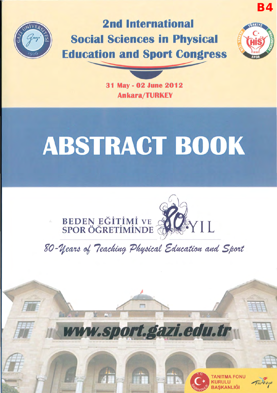

# **2nd International Social Sciences in Physical Education and Sport Congress**



**B4** 

31 May - 02 June 2012 **Ankara/TURKEY** 

# **ABSTRACT BOOK**







*Türkiye*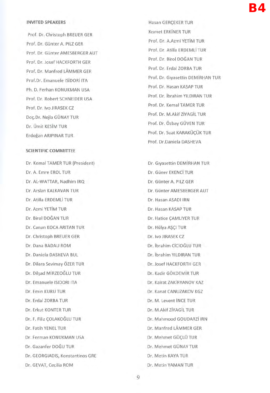#### **INVITED SPEAKERS**

Prof. Dr. Christoph BREUER GER Prof. Dr. GUnter A. PILZ GER Prof. Dr. GUnter AMESBERGER **AUT**  Prof. Dr. Josef HACKFORTH GER Prof. Dr. Manfred LAMMER GER Prof. Dr. Emanuele ISiDORi ITA Ph. D. Ferhan KONUKMAN USA Prof. Dr. Robert SCHNEIDER USA Prof. Dr. Iva JIRASEK CZ Doc.Dr. Nejla GÜNAY TUR Dr. Omit KESiM TUR Erdogan ARIPINAR TUR

#### **SCIENTIFIC COMMITTEE**

Dr. Kemal TAMER TUR (President) Dr. A. Emre EROL TUR Dr. AL-WATIAR, Nadhim IRQ Dr. Arslan KALKAVAN TUR Dr. Atilla ERDEMLi TUR Dr. Azmi YETiM TUR Dr. Birol DOGAN TUR Dr. Canan KOCA ARITAN TUR Dr. Christoph BREUER GER Dr. Dana BADAU ROM Dr. Daniela DASHEVA BUL Dr. Dilara Sevimay OZER TUR Dr. Dilsad MİRZEOĞLU TUR Dr. Emanuele ISIDORI ITA Dr. Emin KURU TUR Dr. Erdal ZORBA TUR Dr. Erkut KONTER TUR Dr. F. Filiz COLAKOĞLU TUR Dr. Fatih YENEL TUR Dr. Ferman KONUKMAN USA Dr. Gazanfer DOGU TUR Dr. GEORGIADIS, Konstantinos GRE Dr. GEVAT, Cecilia ROM

Hasan GERCEKER TUR Kismet ERKINER TUR Prof. Dr. A.Azmi YETiM TUR Prof. Dr. Atilla ERDEMLi TUR Prof. Dr. Birol DOGAN TUR Prof. Dr. Erdal ZORBA TUR Prof. Dr. Glyasettin DEMiRHAN TUR Prof. Dr. Hasan KASAP TUR Prof. Dr. ibrahim YILDIRAN TUR Prof. Dr. Kemal TAMER TUR Prof. Dr. M.Akif ZiYAGiL TUR Prof. Dr. Özbay GÜVEN TUR Prof. Dr. Suat KARAKÜCÜK TUR Prof. Dr.Daniela DASHEVA

Dr. Giyasettin DEMİRHAN TUR Dr. GUner EKENCi TUR Dr. Günter A. PILZ GER Dr. Günter AMESBERGER AUT Dr. Hasan ASADI IRN Dr. Hasan KASAP TUR Dr. Hatice CAMLIYER TUR Dr. Hülya AŞÇI TUR Dr. Iva JIRASEK CZ Dr. ibrahim CiCiOGLU TUR Dr. ibrahim YILDIRAN TUR Dr. Josef HACKFORTH GER Dr. Kadir GÖKDEMİR TUR Dr. Kairat ZAKiRYANOV KAZ Dr. Kanat CANUZAKOV KGZ Dr. M. Levent iNCE TUR Dr. M .Akif ZiYAGiL TUR Dr. Mahmood GOUDARZi IRN Dr. Manfred LAMMER GER Dr. Mehmet GÜÇLÜ TUR Dr. Mehmet GUNAY TUR Dr. Metin KAYA TUR Dr. Metin YAMAN TUR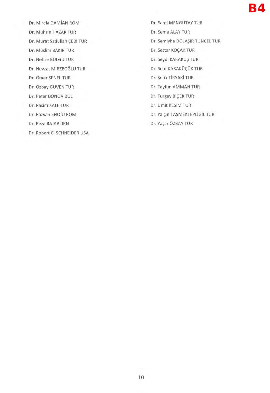Dr. Mirela DAMiAN ROM Dr. Muhsin HAZAR TUR Dr. Murat Sadullah ÇEBİ TUR Dr. Müslim BAKIR TUR Dr. Nefise BULGU TUR Dr. Nevzat MiRZEOGLU TUR Dr. Omer \$ENEL TUR Dr. Özbay GÜVEN TUR Dr. Peter BONOV BUL Dr. Rasim KALE TUR Dr. Razvan ENOiu ROM Dr. Reza RAJABi IRN Dr. Robert C. SCHNEIDER USA Dr. Sami MENGOTAY TUR Dr. Sema ALAY TUR Dr. Semiyha DOLA\$IR TUNCEL TUR Dr. Settar KOÇAK TUR Dr. Seydi KARAKU\$ TUR Dr. Suat KARAKÜÇÜK TUR Dr. \$efik TiRYAKi TUR Dr. Tayfun AMMAN TUR Dr. Turgay BİÇER TUR Dr. Omit KESiM TUR Dr. Yalçın TAŞMEKTEPLİGİL TUR Dr. Yaşar ÖZBAY TUR